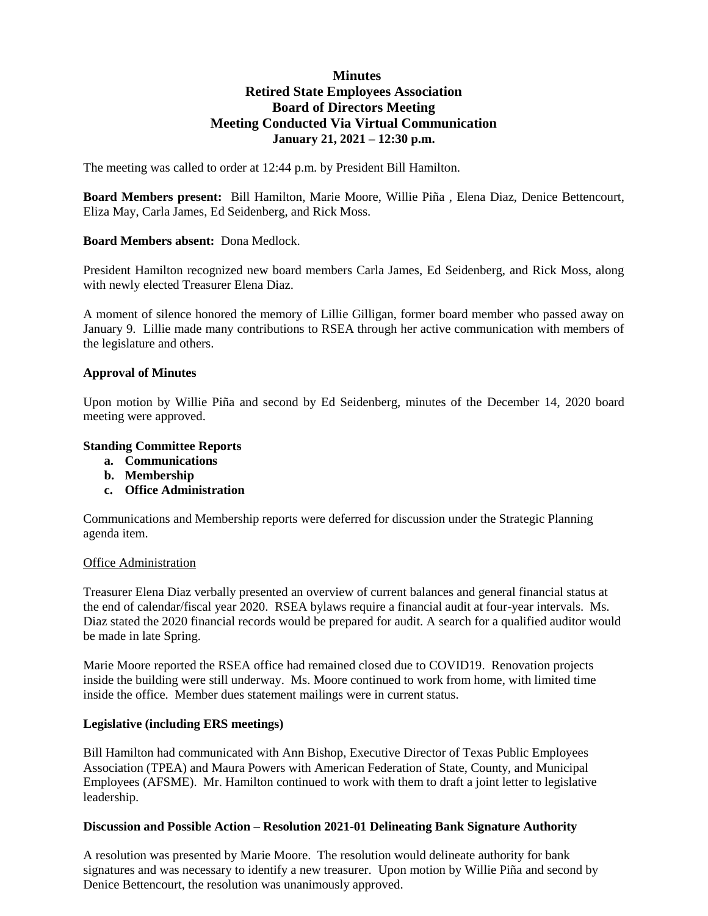# **Minutes Retired State Employees Association Board of Directors Meeting Meeting Conducted Via Virtual Communication January 21, 2021 – 12:30 p.m.**

The meeting was called to order at 12:44 p.m. by President Bill Hamilton.

**Board Members present:** Bill Hamilton, Marie Moore, Willie Piña , Elena Diaz, Denice Bettencourt, Eliza May, Carla James, Ed Seidenberg, and Rick Moss.

## **Board Members absent:** Dona Medlock.

President Hamilton recognized new board members Carla James, Ed Seidenberg, and Rick Moss, along with newly elected Treasurer Elena Diaz.

A moment of silence honored the memory of Lillie Gilligan, former board member who passed away on January 9. Lillie made many contributions to RSEA through her active communication with members of the legislature and others.

### **Approval of Minutes**

Upon motion by Willie Piña and second by Ed Seidenberg, minutes of the December 14, 2020 board meeting were approved.

### **Standing Committee Reports**

- **a. Communications**
- **b. Membership**
- **c. Office Administration**

Communications and Membership reports were deferred for discussion under the Strategic Planning agenda item.

#### Office Administration

Treasurer Elena Diaz verbally presented an overview of current balances and general financial status at the end of calendar/fiscal year 2020. RSEA bylaws require a financial audit at four-year intervals. Ms. Diaz stated the 2020 financial records would be prepared for audit. A search for a qualified auditor would be made in late Spring.

Marie Moore reported the RSEA office had remained closed due to COVID19. Renovation projects inside the building were still underway. Ms. Moore continued to work from home, with limited time inside the office. Member dues statement mailings were in current status.

#### **Legislative (including ERS meetings)**

Bill Hamilton had communicated with Ann Bishop, Executive Director of Texas Public Employees Association (TPEA) and Maura Powers with American Federation of State, County, and Municipal Employees (AFSME). Mr. Hamilton continued to work with them to draft a joint letter to legislative leadership.

#### **Discussion and Possible Action – Resolution 2021-01 Delineating Bank Signature Authority**

A resolution was presented by Marie Moore. The resolution would delineate authority for bank signatures and was necessary to identify a new treasurer. Upon motion by Willie Piña and second by Denice Bettencourt, the resolution was unanimously approved.